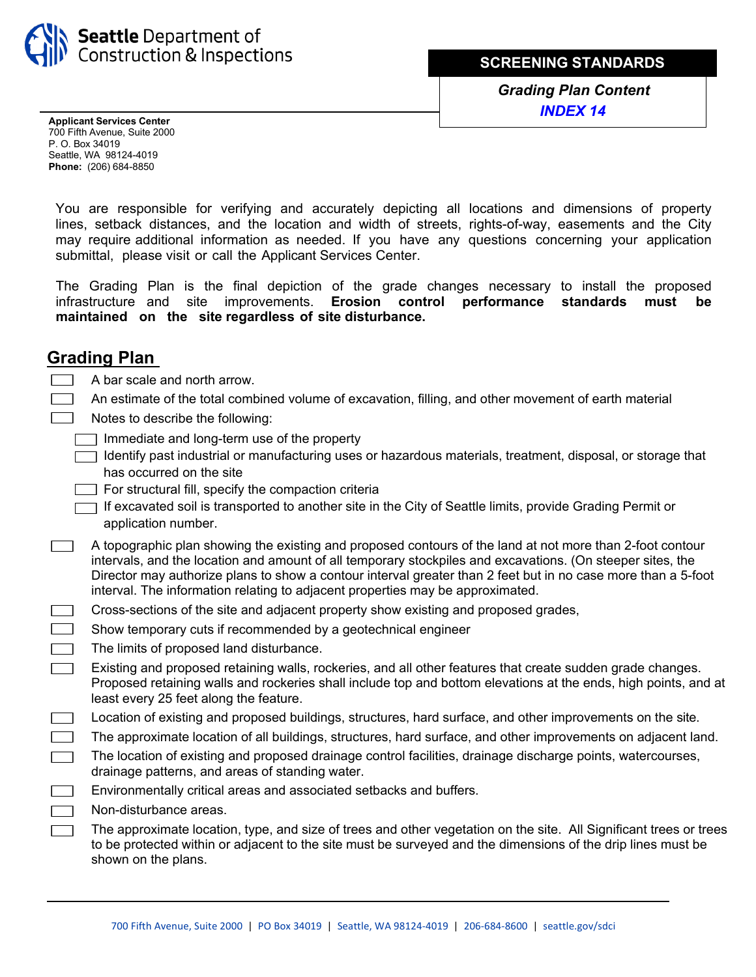

**SCREENING STANDARDS**

*Grading Plan Content INDEX 14*

**Applicant Services Center**  700 Fifth Avenue, Suite 2000 P. O. Box 34019 Seattle, WA 98124-4019 **Phone:** (206) 684-8850

You are responsible for verifying and accurately depicting all locations and dimensions of property lines, setback distances, and the location and width of streets, rights-of-way, easements and the City may require additional information as needed. If you have any questions concerning your application submittal, please visit or call the Applicant Services Center.

The Grading Plan is the final depiction of the grade changes necessary to install the proposed infrastructure and site improvements. **Erosion control performance standards must be maintained on the site regardless of site disturbance.**

## **Grading Plan**

- A bar scale and north arrow.
- An estimate of the total combined volume of excavation, filling, and other movement of earth material
- Notes to describe the following:
	- Immediate and long-term use of the property
	- Identify past industrial or manufacturing uses or hazardous materials, treatment, disposal, or storage that has occurred on the site
	- $\Box$  For structural fill, specify the compaction criteria
	- If excavated soil is transported to another site in the City of Seattle limits, provide Grading Permit or application number.
- A topographic plan showing the existing and proposed contours of the land at not more than 2-foot contour  $\sim$  100  $\mu$ intervals, and the location and amount of all temporary stockpiles and excavations. (On steeper sites, the Director may authorize plans to show a contour interval greater than 2 feet but in no case more than a 5-foot interval. The information relating to adjacent properties may be approximated.
- Cross-sections of the site and adjacent property show existing and proposed grades,  $\overline{\phantom{a}}$ 
	- Show temporary cuts if recommended by a geotechnical engineer
	- The limits of proposed land disturbance.
- Existing and proposed retaining walls, rockeries, and all other features that create sudden grade changes.  $\overline{a}$ Proposed retaining walls and rockeries shall include top and bottom elevations at the ends, high points, and at least every 25 feet along the feature.
- Location of existing and proposed buildings, structures, hard surface, and other improvements on the site.  $\Box$
- The approximate location of all buildings, structures, hard surface, and other improvements on adjacent land.  $\overline{a}$
- The location of existing and proposed drainage control facilities, drainage discharge points, watercourses,  $\sim 100$ drainage patterns, and areas of standing water.
	- Environmentally critical areas and associated setbacks and buffers.
	- Non-disturbance areas.
		- The approximate location, type, and size of trees and other vegetation on the site. All Significant trees or trees to be protected within or adjacent to the site must be surveyed and the dimensions of the drip lines must be shown on the plans.